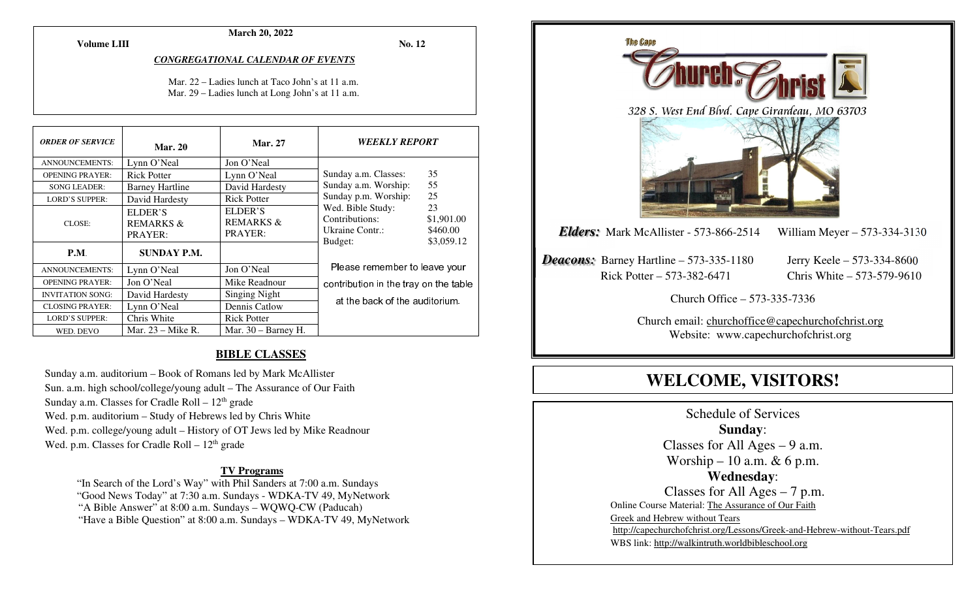**Volume LIII**

#### **March 20, 2022**

**No. 12** 

#### *CONGREGATIONAL CALENDAR OF EVENTS*

Mar. 22 – Ladies lunch at Taco John's at 11 a.m. Mar. 29 – Ladies lunch at Long John's at 11 a.m.

| <b>ORDER OF SERVICE</b> | <b>Mar. 20</b>                             | <b>Mar. 27</b>                             | <b>WEEKLY REPORT</b>                                                                                                                          |    |
|-------------------------|--------------------------------------------|--------------------------------------------|-----------------------------------------------------------------------------------------------------------------------------------------------|----|
| <b>ANNOUNCEMENTS:</b>   | Lynn O'Neal                                | Jon O'Neal                                 |                                                                                                                                               |    |
| <b>OPENING PRAYER:</b>  | <b>Rick Potter</b>                         | Lynn O'Neal                                | Sunday a.m. Classes:                                                                                                                          | 35 |
| <b>SONG LEADER:</b>     | <b>Barney Hartline</b>                     | David Hardesty                             | Sunday a.m. Worship:                                                                                                                          | 55 |
| <b>LORD'S SUPPER:</b>   | David Hardesty                             | <b>Rick Potter</b>                         | 25<br>Sunday p.m. Worship:<br>Wed. Bible Study:<br>23<br>Contributions:<br>\$1,901.00<br>Ukraine Contr.:<br>\$460.00<br>\$3,059.12<br>Budget: |    |
| CLOSE:                  | ELDER'S<br><b>REMARKS &amp;</b><br>PRAYER: | ELDER'S<br><b>REMARKS &amp;</b><br>PRAYER: |                                                                                                                                               |    |
| P.M.                    | <b>SUNDAY P.M.</b>                         |                                            |                                                                                                                                               |    |
| <b>ANNOUNCEMENTS:</b>   | Lynn O'Neal                                | Jon O'Neal                                 | Please remember to leave your                                                                                                                 |    |
| <b>OPENING PRAYER:</b>  | Jon O'Neal                                 | Mike Readnour                              | contribution in the tray on the table                                                                                                         |    |
| <b>INVITATION SONG:</b> | David Hardesty                             | Singing Night                              | at the back of the auditorium.                                                                                                                |    |
| <b>CLOSING PRAYER:</b>  | Lynn O'Neal                                | Dennis Catlow                              |                                                                                                                                               |    |
| <b>LORD'S SUPPER:</b>   | Chris White                                | <b>Rick Potter</b>                         |                                                                                                                                               |    |
| WED. DEVO               | Mar. $23 -$ Mike R.                        | Mar. $30 -$ Barney H.                      |                                                                                                                                               |    |

#### **BIBLE CLASSES**

Sunday a.m. auditorium – Book of Romans led by Mark McAllister Sun. a.m. high school/college/young adult – The Assurance of Our Faith Sunday a.m. Classes for Cradle Roll  $-12<sup>th</sup>$  grade Wed. p.m. auditorium – Study of Hebrews led by Chris White Wed. p.m. college/young adult – History of OT Jews led by Mike Readnour Wed. p.m. Classes for Cradle Roll  $-12<sup>th</sup>$  grade

#### **TV Programs**

 "In Search of the Lord's Way" with Phil Sanders at 7:00 a.m. Sundays "Good News Today" at 7:30 a.m. Sundays - WDKA-TV 49, MyNetwork "A Bible Answer" at 8:00 a.m. Sundays – WQWQ-CW (Paducah) "Have a Bible Question" at 8:00 a.m. Sundays – WDKA-TV 49, MyNetwork



Schedule of Services **Sunday**: Classes for All Ages  $-9$  a.m. Worship – 10 a.m.  $& 6$  p.m. **Wednesday**: Classes for All Ages – 7 p.m. Online Course Material: The Assurance of Our Faith Greek and Hebrew without Tears http://capechurchofchrist.org/Lessons/Greek-and-Hebrew-without-Tears.pdfWBS link: http://walkintruth.worldbibleschool.org